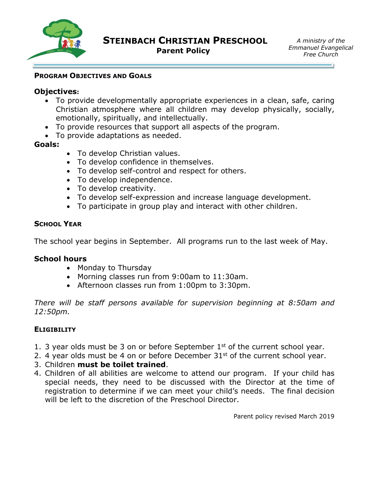

### **PROGRAM OBJECTIVES AND GOALS**

## **Objectives:**

- To provide developmentally appropriate experiences in a clean, safe, caring Christian atmosphere where all children may develop physically, socially, emotionally, spiritually, and intellectually.
- To provide resources that support all aspects of the program.
- To provide adaptations as needed.

# **Goals:**

- To develop Christian values.
- To develop confidence in themselves.
- To develop self-control and respect for others.
- To develop independence.
- To develop creativity.
- To develop self-expression and increase language development.
- To participate in group play and interact with other children.

# **SCHOOL YEAR**

The school year begins in September. All programs run to the last week of May.

#### **School hours**

- Monday to Thursday
- Morning classes run from 9:00am to 11:30am.
- Afternoon classes run from 1:00pm to 3:30pm.

*There will be staff persons available for supervision beginning at 8:50am and 12:50pm.*

#### **ELIGIBILITY**

- 1. 3 year olds must be 3 on or before September  $1<sup>st</sup>$  of the current school year.
- 2. 4 year olds must be 4 on or before December  $31<sup>st</sup>$  of the current school year.
- 3. Children **must be toilet trained**.
- 4. Children of all abilities are welcome to attend our program. If your child has special needs, they need to be discussed with the Director at the time of registration to determine if we can meet your child's needs. The final decision will be left to the discretion of the Preschool Director.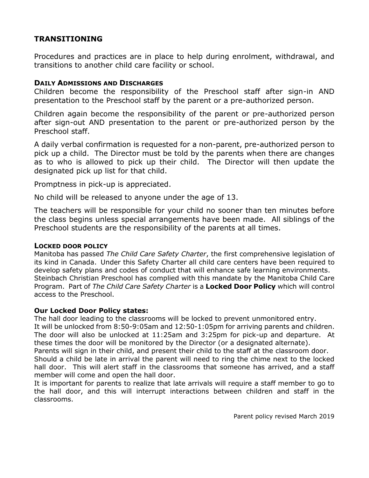# **TRANSITIONING**

Procedures and practices are in place to help during enrolment, withdrawal, and transitions to another child care facility or school.

### **DAILY ADMISSIONS AND DISCHARGES**

Children become the responsibility of the Preschool staff after sign-in AND presentation to the Preschool staff by the parent or a pre-authorized person.

Children again become the responsibility of the parent or pre-authorized person after sign-out AND presentation to the parent or pre-authorized person by the Preschool staff.

A daily verbal confirmation is requested for a non-parent, pre-authorized person to pick up a child. The Director must be told by the parents when there are changes as to who is allowed to pick up their child. The Director will then update the designated pick up list for that child.

Promptness in pick-up is appreciated.

No child will be released to anyone under the age of 13.

The teachers will be responsible for your child no sooner than ten minutes before the class begins unless special arrangements have been made. All siblings of the Preschool students are the responsibility of the parents at all times.

#### **LOCKED DOOR POLICY**

Manitoba has passed *The Child Care Safety Charter*, the first comprehensive legislation of its kind in Canada. Under this Safety Charter all child care centers have been required to develop safety plans and codes of conduct that will enhance safe learning environments. Steinbach Christian Preschool has complied with this mandate by the Manitoba Child Care Program. Part of *The Child Care Safety Charter* is a **Locked Door Policy** which will control access to the Preschool.

#### **Our Locked Door Policy states:**

The hall door leading to the classrooms will be locked to prevent unmonitored entry. It will be unlocked from 8:50-9:05am and 12:50-1:05pm for arriving parents and children. The door will also be unlocked at 11:25am and 3:25pm for pick-up and departure. At these times the door will be monitored by the Director (or a designated alternate).

Parents will sign in their child, and present their child to the staff at the classroom door. Should a child be late in arrival the parent will need to ring the chime next to the locked hall door. This will alert staff in the classrooms that someone has arrived, and a staff member will come and open the hall door.

It is important for parents to realize that late arrivals will require a staff member to go to the hall door, and this will interrupt interactions between children and staff in the classrooms.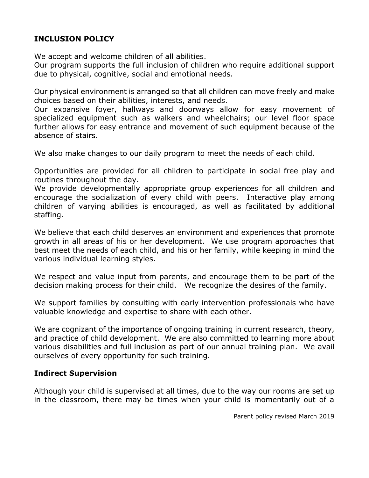# **INCLUSION POLICY**

We accept and welcome children of all abilities.

Our program supports the full inclusion of children who require additional support due to physical, cognitive, social and emotional needs.

Our physical environment is arranged so that all children can move freely and make choices based on their abilities, interests, and needs.

Our expansive foyer, hallways and doorways allow for easy movement of specialized equipment such as walkers and wheelchairs; our level floor space further allows for easy entrance and movement of such equipment because of the absence of stairs.

We also make changes to our daily program to meet the needs of each child.

Opportunities are provided for all children to participate in social free play and routines throughout the day.

We provide developmentally appropriate group experiences for all children and encourage the socialization of every child with peers. Interactive play among children of varying abilities is encouraged, as well as facilitated by additional staffing.

We believe that each child deserves an environment and experiences that promote growth in all areas of his or her development. We use program approaches that best meet the needs of each child, and his or her family, while keeping in mind the various individual learning styles.

We respect and value input from parents, and encourage them to be part of the decision making process for their child. We recognize the desires of the family.

We support families by consulting with early intervention professionals who have valuable knowledge and expertise to share with each other.

We are cognizant of the importance of ongoing training in current research, theory, and practice of child development. We are also committed to learning more about various disabilities and full inclusion as part of our annual training plan. We avail ourselves of every opportunity for such training.

# **Indirect Supervision**

Although your child is supervised at all times, due to the way our rooms are set up in the classroom, there may be times when your child is momentarily out of a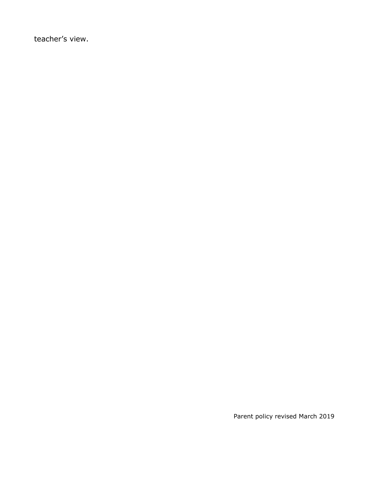teacher's view.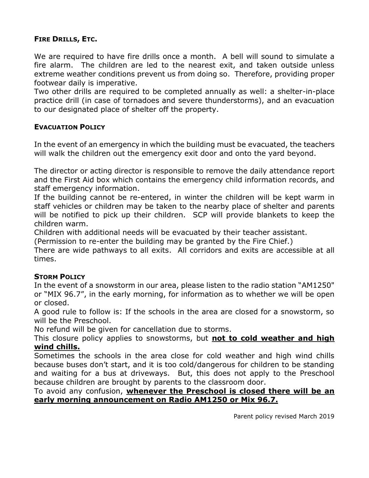# **FIRE DRILLS, ETC.**

We are required to have fire drills once a month. A bell will sound to simulate a fire alarm. The children are led to the nearest exit, and taken outside unless extreme weather conditions prevent us from doing so. Therefore, providing proper footwear daily is imperative.

Two other drills are required to be completed annually as well: a shelter-in-place practice drill (in case of tornadoes and severe thunderstorms), and an evacuation to our designated place of shelter off the property.

# **EVACUATION POLICY**

In the event of an emergency in which the building must be evacuated, the teachers will walk the children out the emergency exit door and onto the yard beyond.

The director or acting director is responsible to remove the daily attendance report and the First Aid box which contains the emergency child information records, and staff emergency information.

If the building cannot be re-entered, in winter the children will be kept warm in staff vehicles or children may be taken to the nearby place of shelter and parents will be notified to pick up their children. SCP will provide blankets to keep the children warm.

Children with additional needs will be evacuated by their teacher assistant.

(Permission to re-enter the building may be granted by the Fire Chief.)

There are wide pathways to all exits. All corridors and exits are accessible at all times.

# **STORM POLICY**

In the event of a snowstorm in our area, please listen to the radio station "AM1250" or "MIX 96.7", in the early morning, for information as to whether we will be open or closed.

A good rule to follow is: If the schools in the area are closed for a snowstorm, so will be the Preschool.

No refund will be given for cancellation due to storms.

This closure policy applies to snowstorms, but **not to cold weather and high wind chills.**

Sometimes the schools in the area close for cold weather and high wind chills because buses don't start, and it is too cold/dangerous for children to be standing and waiting for a bus at driveways. But, this does not apply to the Preschool because children are brought by parents to the classroom door.

## To avoid any confusion, **whenever the Preschool is closed there will be an early morning announcement on Radio AM1250 or Mix 96.7.**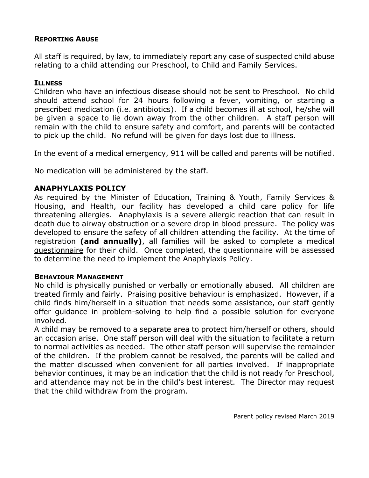# **REPORTING ABUSE**

All staff is required, by law, to immediately report any case of suspected child abuse relating to a child attending our Preschool, to Child and Family Services.

## **ILLNESS**

Children who have an infectious disease should not be sent to Preschool. No child should attend school for 24 hours following a fever, vomiting, or starting a prescribed medication (i.e. antibiotics). If a child becomes ill at school, he/she will be given a space to lie down away from the other children. A staff person will remain with the child to ensure safety and comfort, and parents will be contacted to pick up the child. No refund will be given for days lost due to illness.

In the event of a medical emergency, 911 will be called and parents will be notified.

No medication will be administered by the staff.

# **ANAPHYLAXIS POLICY**

As required by the Minister of Education, Training & Youth, Family Services & Housing, and Health, our facility has developed a child care policy for life threatening allergies. Anaphylaxis is a severe allergic reaction that can result in death due to airway obstruction or a severe drop in blood pressure. The policy was developed to ensure the safety of all children attending the facility. At the time of registration **(and annually)**, all families will be asked to complete a medical questionnaire for their child. Once completed, the questionnaire will be assessed to determine the need to implement the Anaphylaxis Policy.

# **BEHAVIOUR MANAGEMENT**

No child is physically punished or verbally or emotionally abused. All children are treated firmly and fairly. Praising positive behaviour is emphasized. However, if a child finds him/herself in a situation that needs some assistance, our staff gently offer guidance in problem-solving to help find a possible solution for everyone involved.

A child may be removed to a separate area to protect him/herself or others, should an occasion arise. One staff person will deal with the situation to facilitate a return to normal activities as needed. The other staff person will supervise the remainder of the children. If the problem cannot be resolved, the parents will be called and the matter discussed when convenient for all parties involved. If inappropriate behavior continues, it may be an indication that the child is not ready for Preschool, and attendance may not be in the child's best interest. The Director may request that the child withdraw from the program.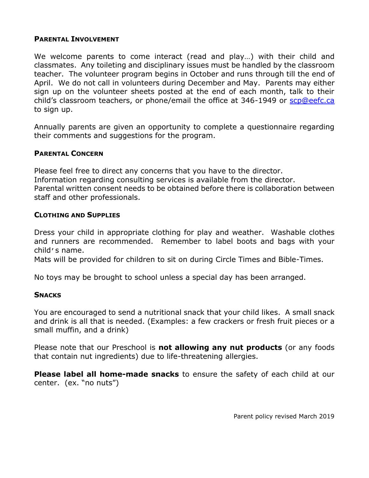## **PARENTAL INVOLVEMENT**

We welcome parents to come interact (read and play…) with their child and classmates. Any toileting and disciplinary issues must be handled by the classroom teacher. The volunteer program begins in October and runs through till the end of April. We do not call in volunteers during December and May. Parents may either sign up on the volunteer sheets posted at the end of each month, talk to their child's classroom teachers, or phone/email the office at 346-1949 or [scp@eefc.ca](mailto:scp@eefc.ca) to sign up.

Annually parents are given an opportunity to complete a questionnaire regarding their comments and suggestions for the program.

#### **PARENTAL CONCERN**

Please feel free to direct any concerns that you have to the director. Information regarding consulting services is available from the director. Parental written consent needs to be obtained before there is collaboration between staff and other professionals.

## **CLOTHING AND SUPPLIES**

Dress your child in appropriate clothing for play and weather. Washable clothes and runners are recommended. Remember to label boots and bags with your child's name.

Mats will be provided for children to sit on during Circle Times and Bible-Times.

No toys may be brought to school unless a special day has been arranged.

#### **SNACKS**

You are encouraged to send a nutritional snack that your child likes. A small snack and drink is all that is needed. (Examples: a few crackers or fresh fruit pieces or a small muffin, and a drink)

Please note that our Preschool is **not allowing any nut products** (or any foods that contain nut ingredients) due to life-threatening allergies.

**Please label all home-made snacks** to ensure the safety of each child at our center. (ex. "no nuts")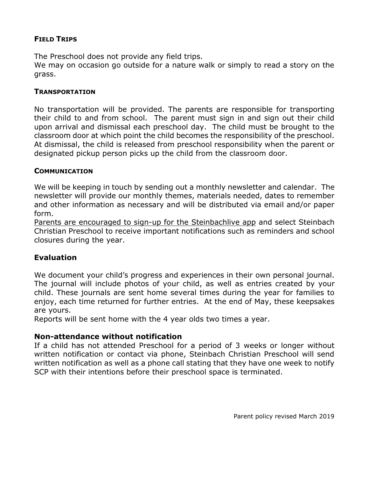# **FIELD TRIPS**

The Preschool does not provide any field trips.

We may on occasion go outside for a nature walk or simply to read a story on the grass.

### **TRANSPORTATION**

No transportation will be provided. The parents are responsible for transporting their child to and from school. The parent must sign in and sign out their child upon arrival and dismissal each preschool day. The child must be brought to the classroom door at which point the child becomes the responsibility of the preschool. At dismissal, the child is released from preschool responsibility when the parent or designated pickup person picks up the child from the classroom door.

## **COMMUNICATION**

We will be keeping in touch by sending out a monthly newsletter and calendar. The newsletter will provide our monthly themes, materials needed, dates to remember and other information as necessary and will be distributed via email and/or paper form.

Parents are encouraged to sign-up for the Steinbachlive app and select Steinbach Christian Preschool to receive important notifications such as reminders and school closures during the year.

# **Evaluation**

We document your child's progress and experiences in their own personal journal. The journal will include photos of your child, as well as entries created by your child. These journals are sent home several times during the year for families to enjoy, each time returned for further entries. At the end of May, these keepsakes are yours.

Reports will be sent home with the 4 year olds two times a year.

# **Non-attendance without notification**

If a child has not attended Preschool for a period of 3 weeks or longer without written notification or contact via phone, Steinbach Christian Preschool will send written notification as well as a phone call stating that they have one week to notify SCP with their intentions before their preschool space is terminated.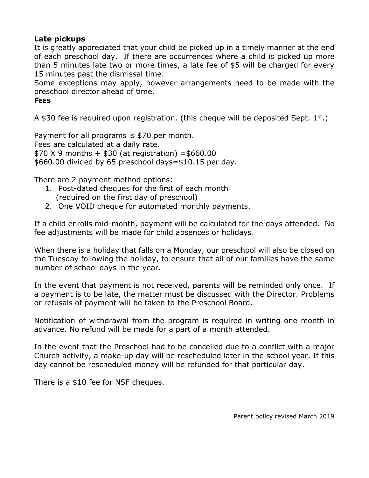# **Late pickups**

It is greatly appreciated that your child be picked up in a timely manner at the end of each preschool day. If there are occurrences where a child is picked up more than 5 minutes late two or more times, a late fee of \$5 will be charged for every 15 minutes past the dismissal time.

Some exceptions may apply, however arrangements need to be made with the preschool director ahead of time.

# **FEES**

A \$30 fee is required upon registration. (this cheque will be deposited Sept.  $1^{st}$ .)

Payment for all programs is \$70 per month. Fees are calculated at a daily rate.  $$70 X 9$  months +  $$30$  (at registration) = \$660.00 \$660.00 divided by 65 preschool days=\$10.15 per day.

There are 2 payment method options:

- 1. Post-dated cheques for the first of each month (required on the first day of preschool)
- 2. One VOID cheque for automated monthly payments.

If a child enrolls mid-month, payment will be calculated for the days attended. No fee adjustments will be made for child absences or holidays.

When there is a holiday that falls on a Monday, our preschool will also be closed on the Tuesday following the holiday, to ensure that all of our families have the same number of school days in the year.

In the event that payment is not received, parents will be reminded only once. If a payment is to be late, the matter must be discussed with the Director. Problems or refusals of payment will be taken to the Preschool Board.

Notification of withdrawal from the program is required in writing one month in advance. No refund will be made for a part of a month attended.

In the event that the Preschool had to be cancelled due to a conflict with a major Church activity, a make-up day will be rescheduled later in the school year. If this day cannot be rescheduled money will be refunded for that particular day.

There is a \$10 fee for NSF cheques.